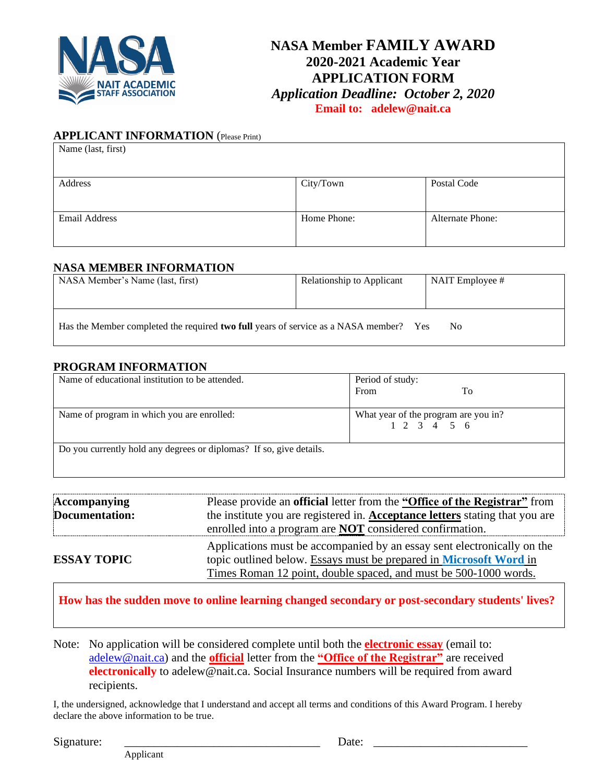

## **NASA Member FAMILY AWARD 2020-2021 Academic Year APPLICATION FORM** *Application Deadline: October 2, 2020* **Email to: adelew@nait.ca**

### **APPLICANT INFORMATION** (Please Print)

| Name (last, first)   |             |                         |
|----------------------|-------------|-------------------------|
|                      |             |                         |
| Address              | City/Town   | Postal Code             |
|                      |             |                         |
| <b>Email Address</b> | Home Phone: | <b>Alternate Phone:</b> |
|                      |             |                         |

#### **NASA MEMBER INFORMATION**

| NASA Member's Name (last, first)                                                             | Relationship to Applicant | NAIT Employee # |
|----------------------------------------------------------------------------------------------|---------------------------|-----------------|
| Has the Member completed the required <b>two full</b> years of service as a NASA member? Yes |                           | N <sub>0</sub>  |

#### **PROGRAM INFORMATION**

| Name of educational institution to be attended.                     | Period of study:<br>From                                   | Tо |
|---------------------------------------------------------------------|------------------------------------------------------------|----|
| Name of program in which you are enrolled:                          | What year of the program are you in?<br>$1\ 2\ 3\ 4\ 5\ 6$ |    |
| Do you currently hold any degrees or diplomas? If so, give details. |                                                            |    |

| Accompanying       | Please provide an <b>official</b> letter from the "Office of the Registrar" from    |
|--------------------|-------------------------------------------------------------------------------------|
| Documentation:     | the institute you are registered in. <b>Acceptance letters</b> stating that you are |
|                    | enrolled into a program are <b>NOT</b> considered confirmation.                     |
|                    | Applications must be accompanied by an essay sent electronically on the             |
| <b>ESSAY TOPIC</b> | topic outlined below. Essays must be prepared in Microsoft Word in                  |
|                    | Times Roman 12 point, double spaced, and must be 500-1000 words.                    |

**How has the sudden move to online learning changed secondary or post-secondary students' lives?**

Note: No application will be considered complete until both the **electronic essay** (email to: [adelew@nait.ca\)](mailto:adelew@nait.ca) and the **official** letter from the **"Office of the Registrar"** are received **electronically** to adelew@nait.ca. Social Insurance numbers will be required from award recipients.

I, the undersigned, acknowledge that I understand and accept all terms and conditions of this Award Program. I hereby declare the above information to be true.

 $Signature: \t\underline{\hspace{1.5cm}}$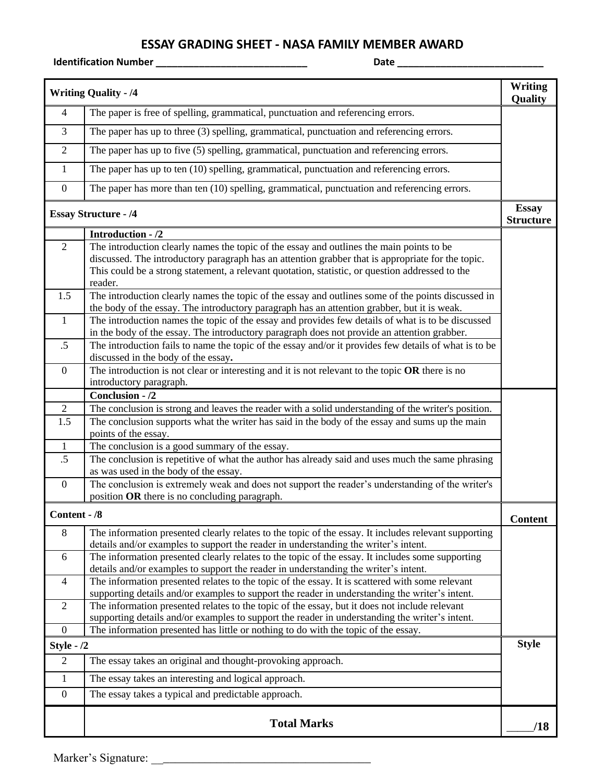# **ESSAY GRADING SHEET - NASA FAMILY MEMBER AWARD**

**Identification Number \_\_\_\_\_\_\_\_\_\_\_\_\_\_\_\_\_\_\_\_\_\_\_\_\_\_\_\_ Date \_\_\_\_\_\_\_\_\_\_\_\_\_\_\_\_\_\_\_\_\_\_\_\_\_\_\_**

|                | <b>Writing Quality - /4</b>                                                                                                                                                                                                                                                                                 | <b>Writing</b><br>Quality        |
|----------------|-------------------------------------------------------------------------------------------------------------------------------------------------------------------------------------------------------------------------------------------------------------------------------------------------------------|----------------------------------|
| $\overline{4}$ | The paper is free of spelling, grammatical, punctuation and referencing errors.                                                                                                                                                                                                                             |                                  |
| 3              | The paper has up to three (3) spelling, grammatical, punctuation and referencing errors.                                                                                                                                                                                                                    |                                  |
| $\overline{2}$ | The paper has up to five (5) spelling, grammatical, punctuation and referencing errors.                                                                                                                                                                                                                     |                                  |
| 1              | The paper has up to ten (10) spelling, grammatical, punctuation and referencing errors.                                                                                                                                                                                                                     |                                  |
| $\overline{0}$ | The paper has more than ten (10) spelling, grammatical, punctuation and referencing errors.                                                                                                                                                                                                                 |                                  |
|                | <b>Essay Structure - /4</b>                                                                                                                                                                                                                                                                                 | <b>Essay</b><br><b>Structure</b> |
|                | Introduction - /2                                                                                                                                                                                                                                                                                           |                                  |
| $\overline{2}$ | The introduction clearly names the topic of the essay and outlines the main points to be<br>discussed. The introductory paragraph has an attention grabber that is appropriate for the topic.<br>This could be a strong statement, a relevant quotation, statistic, or question addressed to the<br>reader. |                                  |
| 1.5            | The introduction clearly names the topic of the essay and outlines some of the points discussed in<br>the body of the essay. The introductory paragraph has an attention grabber, but it is weak.                                                                                                           |                                  |
| $\mathbf{1}$   | The introduction names the topic of the essay and provides few details of what is to be discussed<br>in the body of the essay. The introductory paragraph does not provide an attention grabber.                                                                                                            |                                  |
| $.5\,$         | The introduction fails to name the topic of the essay and/or it provides few details of what is to be<br>discussed in the body of the essay.                                                                                                                                                                |                                  |
| $\mathbf{0}$   | The introduction is not clear or interesting and it is not relevant to the topic $OR$ there is no<br>introductory paragraph.                                                                                                                                                                                |                                  |
|                | Conclusion - /2                                                                                                                                                                                                                                                                                             |                                  |
| $\mathbf{2}$   | The conclusion is strong and leaves the reader with a solid understanding of the writer's position.                                                                                                                                                                                                         |                                  |
| 1.5            | The conclusion supports what the writer has said in the body of the essay and sums up the main<br>points of the essay.                                                                                                                                                                                      |                                  |
| $\mathbf{1}$   | The conclusion is a good summary of the essay.                                                                                                                                                                                                                                                              |                                  |
| .5             | The conclusion is repetitive of what the author has already said and uses much the same phrasing                                                                                                                                                                                                            |                                  |
| $\overline{0}$ | as was used in the body of the essay.<br>The conclusion is extremely weak and does not support the reader's understanding of the writer's                                                                                                                                                                   |                                  |
|                | position OR there is no concluding paragraph.                                                                                                                                                                                                                                                               |                                  |
| Content - /8   |                                                                                                                                                                                                                                                                                                             | Content                          |
| 8              | The information presented clearly relates to the topic of the essay. It includes relevant supporting<br>details and/or examples to support the reader in understanding the writer's intent.                                                                                                                 |                                  |
| 6              | The information presented clearly relates to the topic of the essay. It includes some supporting<br>details and/or examples to support the reader in understanding the writer's intent.                                                                                                                     |                                  |
| $\overline{4}$ | The information presented relates to the topic of the essay. It is scattered with some relevant<br>supporting details and/or examples to support the reader in understanding the writer's intent.                                                                                                           |                                  |
| 2              | The information presented relates to the topic of the essay, but it does not include relevant<br>supporting details and/or examples to support the reader in understanding the writer's intent.                                                                                                             |                                  |
| $\mathbf{0}$   | The information presented has little or nothing to do with the topic of the essay.                                                                                                                                                                                                                          |                                  |
| Style - $/2$   |                                                                                                                                                                                                                                                                                                             | <b>Style</b>                     |
| $\overline{2}$ | The essay takes an original and thought-provoking approach.                                                                                                                                                                                                                                                 |                                  |
| $\mathbf{1}$   | The essay takes an interesting and logical approach.                                                                                                                                                                                                                                                        |                                  |
| $\mathbf{0}$   | The essay takes a typical and predictable approach.                                                                                                                                                                                                                                                         |                                  |
|                | <b>Total Marks</b>                                                                                                                                                                                                                                                                                          | /18                              |